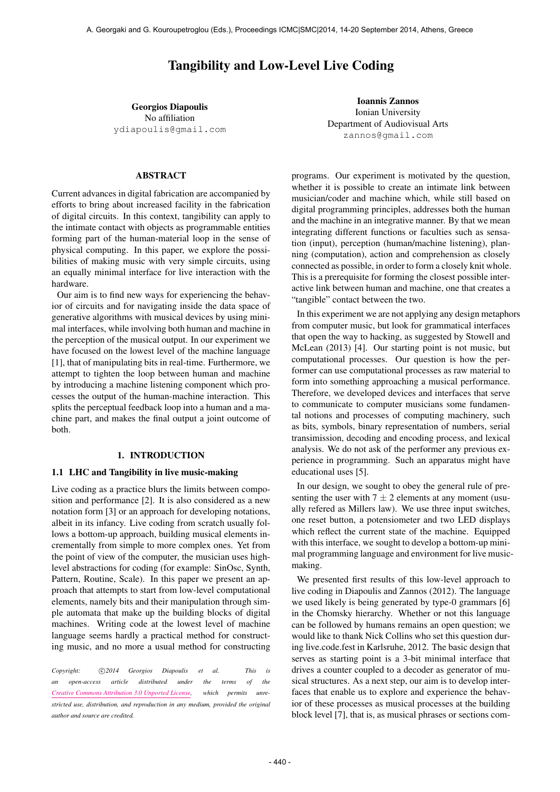# Tangibility and Low-Level Live Coding

Georgios Diapoulis No affiliation [ydiapoulis@gmail.com](mailto:ydiapoulis@gmail.com)

Ioannis Zannos Ionian University Department of Audiovisual Arts [zannos@gmail.com](mailto:zannos@gmail.com)

#### ABSTRACT

Current advances in digital fabrication are accompanied by efforts to bring about increased facility in the fabrication of digital circuits. In this context, tangibility can apply to the intimate contact with objects as programmable entities forming part of the human-material loop in the sense of physical computing. In this paper, we explore the possibilities of making music with very simple circuits, using an equally minimal interface for live interaction with the hardware.

Our aim is to find new ways for experiencing the behavior of circuits and for navigating inside the data space of generative algorithms with musical devices by using minimal interfaces, while involving both human and machine in the perception of the musical output. In our experiment we have focused on the lowest level of the machine language [1], that of manipulating bits in real-time. Furthermore, we attempt to tighten the loop between human and machine by introducing a machine listening component which processes the output of the human-machine interaction. This splits the perceptual feedback loop into a human and a machine part, and makes the final output a joint outcome of both.

#### 1. INTRODUCTION

#### 1.1 LHC and Tangibility in live music-making

Live coding as a practice blurs the limits between composition and performance [2]. It is also considered as a new notation form [3] or an approach for developing notations, albeit in its infancy. Live coding from scratch usually follows a bottom-up approach, building musical elements incrementally from simple to more complex ones. Yet from the point of view of the computer, the musician uses highlevel abstractions for coding (for example: SinOsc, Synth, Pattern, Routine, Scale). In this paper we present an approach that attempts to start from low-level computational elements, namely bits and their manipulation through simple automata that make up the building blocks of digital machines. Writing code at the lowest level of machine language seems hardly a practical method for constructing music, and no more a usual method for constructing

*Copyright: ⃝*c *2014 Georgios Diapoulis et al. This is an open-access article distributed under the terms of the [Creative Commons Attribution 3.0 Unported License,](http://creativecommons.org/licenses/by/3.0/) which permits unrestricted use, distribution, and reproduction in any medium, provided the original author and source are credited.*

programs. Our experiment is motivated by the question, whether it is possible to create an intimate link between musician/coder and machine which, while still based on digital programming principles, addresses both the human and the machine in an integrative manner. By that we mean integrating different functions or faculties such as sensation (input), perception (human/machine listening), planning (computation), action and comprehension as closely connected as possible, in order to form a closely knit whole. This is a prerequisite for forming the closest possible interactive link between human and machine, one that creates a "tangible" contact between the two.

In this experiment we are not applying any design metaphors from computer music, but look for grammatical interfaces that open the way to hacking, as suggested by Stowell and McLean (2013) [4]. Our starting point is not music, but computational processes. Our question is how the performer can use computational processes as raw material to form into something approaching a musical performance. Therefore, we developed devices and interfaces that serve to communicate to computer musicians some fundamental notions and processes of computing machinery, such as bits, symbols, binary representation of numbers, serial transimission, decoding and encoding process, and lexical analysis. We do not ask of the performer any previous experience in programming. Such an apparatus might have educational uses [5].

In our design, we sought to obey the general rule of presenting the user with  $7 \pm 2$  elements at any moment (usually refered as Millers law). We use three input switches, one reset button, a potensiometer and two LED displays which reflect the current state of the machine. Equipped with this interface, we sought to develop a bottom-up minimal programming language and environment for live musicmaking.

We presented first results of this low-level approach to live coding in Diapoulis and Zannos (2012). The language we used likely is being generated by type-0 grammars [6] in the Chomsky hierarchy. Whether or not this language can be followed by humans remains an open question; we would like to thank Nick Collins who set this question during live.code.fest in Karlsruhe, 2012. The basic design that serves as starting point is a 3-bit minimal interface that drives a counter coupled to a decoder as generator of musical structures. As a next step, our aim is to develop interfaces that enable us to explore and experience the behavior of these processes as musical processes at the building block level [7], that is, as musical phrases or sections com-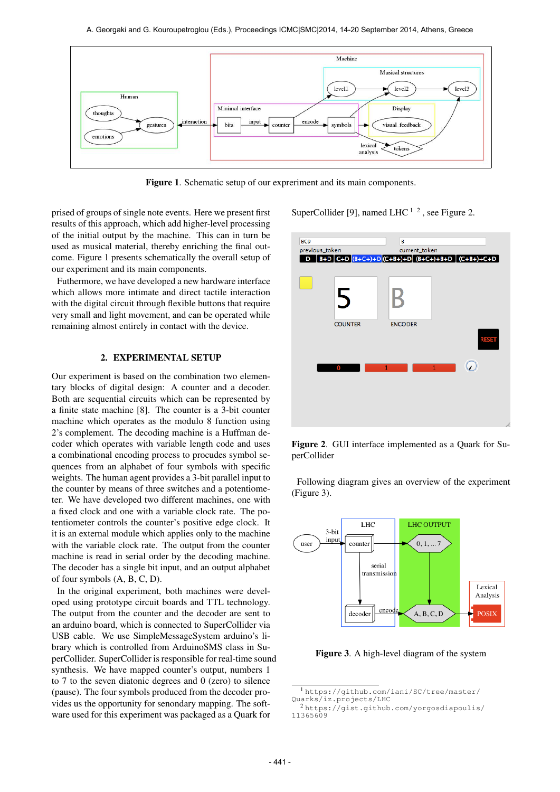

Figure 1. Schematic setup of our expreriment and its main components.

prised of groups of single note events. Here we present first results of this approach, which add higher-level processing of the initial output by the machine. This can in turn be used as musical material, thereby enriching the final outcome. Figure 1 presents schematically the overall setup of our experiment and its main components.

Futhermore, we have developed a new hardware interface which allows more intimate and direct tactile interaction with the digital circuit through flexible buttons that require very small and light movement, and can be operated while remaining almost entirely in contact with the device.

## 2. EXPERIMENTAL SETUP

Our experiment is based on the combination two elementary blocks of digital design: A counter and a decoder. Both are sequential circuits which can be represented by a finite state machine [8]. The counter is a 3-bit counter machine which operates as the modulo 8 function using 2's complement. The decoding machine is a Huffman decoder which operates with variable length code and uses a combinational encoding process to procudes symbol sequences from an alphabet of four symbols with specific weights. The human agent provides a 3-bit parallel input to the counter by means of three switches and a potentiometer. We have developed two different machines, one with a fixed clock and one with a variable clock rate. The potentiometer controls the counter's positive edge clock. It it is an external module which applies only to the machine with the variable clock rate. The output from the counter machine is read in serial order by the decoding machine. The decoder has a single bit input, and an output alphabet of four symbols (A, B, C, D).

In the original experiment, both machines were developed using prototype circuit boards and TTL technology. The output from the counter and the decoder are sent to an arduino board, which is connected to SuperCollider via USB cable. We use SimpleMessageSystem arduino's library which is controlled from ArduinoSMS class in SuperCollider. SuperCollider is responsible for real-time sound synthesis. We have mapped counter's output, numbers 1 to 7 to the seven diatonic degrees and 0 (zero) to silence (pause). The four symbols produced from the decoder provides us the opportunity for senondary mapping. The software used for this experiment was packaged as a Quark for

SuperCollider [9], named LHC  $^{1/2}$ , see Figure 2.



Figure 2. GUI interface implemented as a Quark for SuperCollider

Following diagram gives an overview of the experiment (Figure 3).



Figure 3. A high-level diagram of the system

<sup>1</sup> [https://github.com/iani/SC/tree/master/](https://github.com/iani/SC/tree/master/Quarks/iz.projects/LHC) [Quarks/iz.projects/LHC](https://github.com/iani/SC/tree/master/Quarks/iz.projects/LHC)

<sup>2</sup> [https://gist.github.com/yorgosdiapoulis/](https://gist.github.com/yorgosdiapoulis/11365609) [11365609](https://gist.github.com/yorgosdiapoulis/11365609)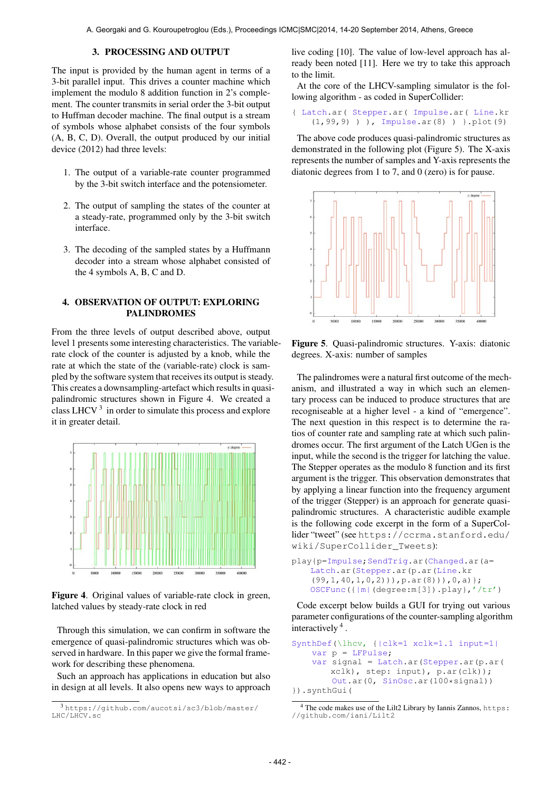#### 3. PROCESSING AND OUTPUT

The input is provided by the human agent in terms of a 3-bit parallel input. This drives a counter machine which implement the modulo 8 addition function in 2's complement. The counter transmits in serial order the 3-bit output to Huffman decoder machine. The final output is a stream of symbols whose alphabet consists of the four symbols (A, B, C, D). Overall, the output produced by our initial device (2012) had three levels:

- 1. The output of a variable-rate counter programmed by the 3-bit switch interface and the potensiometer.
- 2. The output of sampling the states of the counter at a steady-rate, programmed only by the 3-bit switch interface.
- 3. The decoding of the sampled states by a Huffmann decoder into a stream whose alphabet consisted of the 4 symbols A, B, C and D.

## 4. OBSERVATION OF OUTPUT: EXPLORING PALINDROMES

From the three levels of output described above, output level 1 presents some interesting characteristics. The variablerate clock of the counter is adjusted by a knob, while the rate at which the state of the (variable-rate) clock is sampled by the software system that receives its output is steady. This creates a downsampling-artefact which results in quasipalindromic structures shown in Figure 4. We created a class LHCV $<sup>3</sup>$  in order to simulate this process and explore</sup> it in greater detail.



Figure 4. Original values of variable-rate clock in green, latched values by steady-rate clock in red

Through this simulation, we can confirm in software the emergence of quasi-palindromic structures which was observed in hardware. In this paper we give the formal framework for describing these phenomena.

Such an approach has applications in education but also in design at all levels. It also opens new ways to approach live coding [10]. The value of low-level approach has already been noted [11]. Here we try to take this approach to the limit.

At the core of the LHCV-sampling simulator is the following algorithm - as coded in SuperCollider:

{ Latch.ar( Stepper.ar( Impulse.ar( Line.kr (1,99,9) ) ), Impulse.ar(8) ) }.plot(9)

The above code produces quasi-palindromic structures as demonstrated in the following plot (Figure 5). The X-axis represents the number of samples and Y-axis represents the diatonic degrees from 1 to 7, and 0 (zero) is for pause.



Figure 5. Quasi-palindromic structures. Y-axis: diatonic degrees. X-axis: number of samples

The palindromes were a natural first outcome of the mechanism, and illustrated a way in which such an elementary process can be induced to produce structures that are recogniseable at a higher level - a kind of "emergence". The next question in this respect is to determine the ratios of counter rate and sampling rate at which such palindromes occur. The first argument of the Latch UGen is the input, while the second is the trigger for latching the value. The Stepper operates as the modulo 8 function and its first argument is the trigger. This observation demonstrates that by applying a linear function into the frequency argument of the trigger (Stepper) is an approach for generate quasipalindromic structures. A characteristic audible example is the following code excerpt in the form of a SuperCollider "tweet" (see [https://ccrma.stanford.edu/](https://ccrma.stanford.edu/wiki/SuperCollider_Tweets) [wiki/SuperCollider\\_Tweets](https://ccrma.stanford.edu/wiki/SuperCollider_Tweets)):

```
play{p=Impulse;SendTrig.ar(Changed.ar(a=
   Latch.ar(Stepper.ar(p.ar(Line.kr
    (99,1,40,1,0,2))),p.ar(8))),0,a)};
   OSCFunc({|m|(degree:m[3]).play},'/tr')
```
Code excerpt below builds a GUI for trying out various parameter configurations of the counter-sampling algorithm interactively 4 .

```
SynthDef(\lhcv, {|clk=1 xclk=1.1 input=1|
    var p = LFPulse;
    var signal = Latch.ar(Stepper.ar(p.ar(
       xclk), step: input), p.ar(clk));
        Out.ar(0, SinOsc.ar(100*signal))
}).synthGui(
```
<sup>3</sup> [https://github.com/aucotsi/sc3/blob/master/](https://github.com/aucotsi/sc3/blob/master/LHC/LHCV.sc) [LHC/LHCV.sc](https://github.com/aucotsi/sc3/blob/master/LHC/LHCV.sc)

<sup>&</sup>lt;sup>4</sup> The code makes use of the Lilt2 Library by Iannis Zannos, [https:](https://github.com/iani/Lilt2) [//github.com/iani/Lilt2](https://github.com/iani/Lilt2)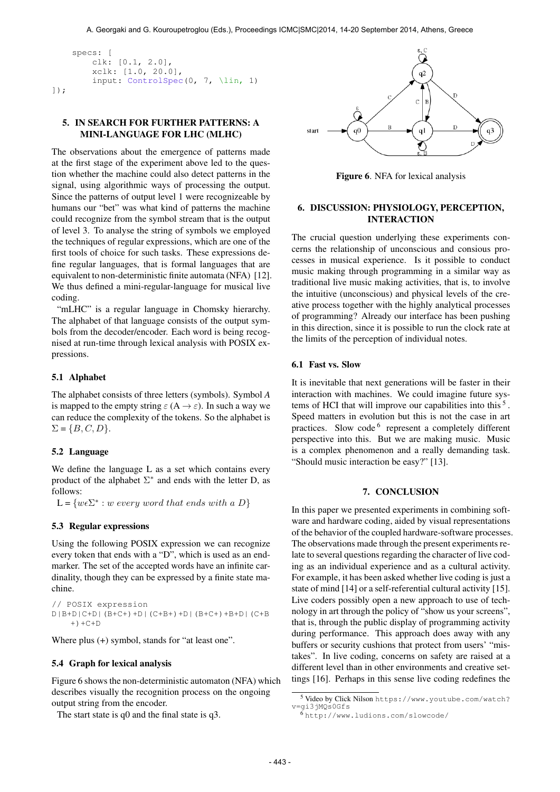```
specs: [
        clk: [0.1, 2.0],
        xclk: [1.0, 20.0],
        input: ControlSpec(0, 7, \lin, 1)
]);
```
## 5. IN SEARCH FOR FURTHER PATTERNS: A MINI-LANGUAGE FOR LHC (MLHC)

The observations about the emergence of patterns made at the first stage of the experiment above led to the question whether the machine could also detect patterns in the signal, using algorithmic ways of processing the output. Since the patterns of output level 1 were recognizeable by humans our "bet" was what kind of patterns the machine could recognize from the symbol stream that is the output of level 3. To analyse the string of symbols we employed the techniques of regular expressions, which are one of the first tools of choice for such tasks. These expressions define regular languages, that is formal languages that are equivalent to non-deterministic finite automata (NFA) [12]. We thus defined a mini-regular-language for musical live coding.

"mLHC" is a regular language in Chomsky hierarchy. The alphabet of that language consists of the output symbols from the decoder/encoder. Each word is being recognised at run-time through lexical analysis with POSIX expressions.

#### 5.1 Alphabet

The alphabet consists of three letters (symbols). Symbol *A* is mapped to the empty string  $\varepsilon(A \to \varepsilon)$ . In such a way we can reduce the complexity of the tokens. So the alphabet is  $\Sigma = \{B, C, D\}.$ 

#### 5.2 Language

We define the language L as a set which contains every product of the alphabet  $\Sigma^*$  and ends with the letter D, as follows:

 $L = \{w \in \Sigma^* : w \text{ every word that ends with a } D\}$ 

### 5.3 Regular expressions

Using the following POSIX expression we can recognize every token that ends with a "D", which is used as an endmarker. The set of the accepted words have an infinite cardinality, though they can be expressed by a finite state machine.

```
// POSIX expression
D|B+D|C+D|(B+C+)+D|(C+B+)+D|(B+C+)+B+D|(C+B
   +) +C+D
```
Where plus (+) symbol, stands for "at least one".

#### 5.4 Graph for lexical analysis

Figure 6 shows the non-deterministic automaton (NFA) which describes visually the recognition process on the ongoing output string from the encoder.

The start state is q0 and the final state is q3.



Figure 6. NFA for lexical analysis

## 6. DISCUSSION: PHYSIOLOGY, PERCEPTION, INTERACTION

The crucial question underlying these experiments concerns the relationship of unconscious and consious processes in musical experience. Is it possible to conduct music making through programming in a similar way as traditional live music making activities, that is, to involve the intuitive (unconscious) and physical levels of the creative process together with the highly analytical processes of programming? Already our interface has been pushing in this direction, since it is possible to run the clock rate at the limits of the perception of individual notes.

## 6.1 Fast vs. Slow

It is inevitable that next generations will be faster in their interaction with machines. We could imagine future systems of HCI that will improve our capabilities into this<sup>5</sup>. Speed matters in evolution but this is not the case in art practices. Slow code <sup>6</sup> represent a completely different perspective into this. But we are making music. Music is a complex phenomenon and a really demanding task. "Should music interaction be easy?" [13].

## 7. CONCLUSION

In this paper we presented experiments in combining software and hardware coding, aided by visual representations of the behavior of the coupled hardware-software processes. The observations made through the present experiments relate to several questions regarding the character of live coding as an individual experience and as a cultural activity. For example, it has been asked whether live coding is just a state of mind [14] or a self-referential cultural activity [15]. Live coders possibly open a new approach to use of technology in art through the policy of "show us your screens", that is, through the public display of programming activity during performance. This approach does away with any buffers or security cushions that protect from users' "mistakes". In live coding, concerns on safety are raised at a different level than in other environments and creative settings [16]. Perhaps in this sense live coding redefines the

<sup>5</sup> Video by Click Nilson [https://www.youtube.com/watch?](https://www.youtube.com/watch?v=gi3jMQs0Gfs) [v=gi3jMQs0Gfs](https://www.youtube.com/watch?v=gi3jMQs0Gfs)

 $6$ <http://www.ludions.com/slowcode/>